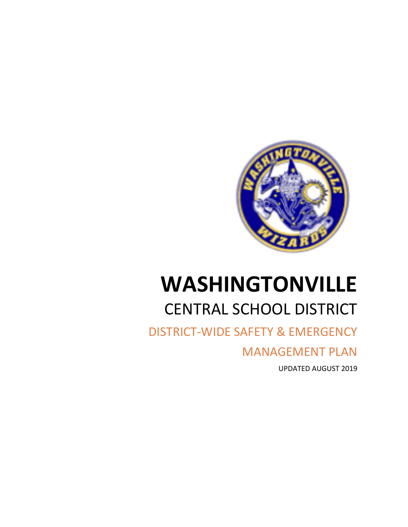

# **WASHINGTONVILLE** CENTRAL SCHOOL DISTRICT

DISTRICT-WIDE SAFETY & EMERGENCY

MANAGEMENT PLAN

UPDATED AUGUST 2019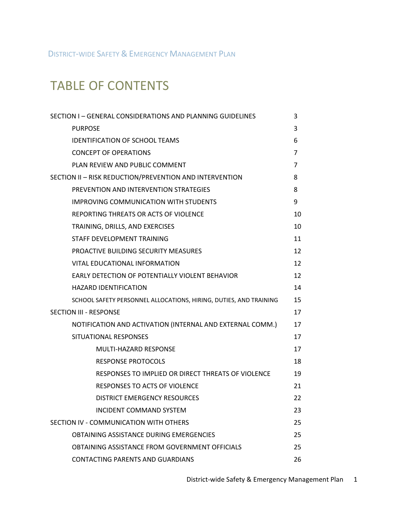DISTRICT-WIDE SAFETY & EMERGENCY MANAGEMENT PLAN

# TABLE OF CONTENTS

| SECTION I - GENERAL CONSIDERATIONS AND PLANNING GUIDELINES        | 3              |
|-------------------------------------------------------------------|----------------|
| <b>PURPOSE</b>                                                    | 3              |
| <b>IDENTIFICATION OF SCHOOL TEAMS</b>                             | 6              |
| <b>CONCEPT OF OPERATIONS</b>                                      | $\overline{7}$ |
| PLAN REVIEW AND PUBLIC COMMENT                                    | $\overline{7}$ |
| SECTION II - RISK REDUCTION/PREVENTION AND INTERVENTION           | 8              |
| PREVENTION AND INTERVENTION STRATEGIES                            | 8              |
| <b>IMPROVING COMMUNICATION WITH STUDENTS</b>                      | 9              |
| REPORTING THREATS OR ACTS OF VIOLENCE                             | 10             |
| TRAINING, DRILLS, AND EXERCISES                                   | 10             |
| STAFF DEVELOPMENT TRAINING                                        | 11             |
| PROACTIVE BUILDING SECURITY MEASURES                              | 12             |
| VITAL EDUCATIONAL INFORMATION                                     | 12             |
| EARLY DETECTION OF POTENTIALLY VIOLENT BEHAVIOR                   | 12             |
| <b>HAZARD IDENTIFICATION</b>                                      | 14             |
| SCHOOL SAFETY PERSONNEL ALLOCATIONS, HIRING, DUTIES, AND TRAINING | 15             |
| <b>SECTION III - RESPONSE</b>                                     | 17             |
| NOTIFICATION AND ACTIVATION (INTERNAL AND EXTERNAL COMM.)         | 17             |
| SITUATIONAL RESPONSES                                             | 17             |
| <b>MULTI-HAZARD RESPONSE</b>                                      | 17             |
| <b>RESPONSE PROTOCOLS</b>                                         | 18             |
| RESPONSES TO IMPLIED OR DIRECT THREATS OF VIOLENCE                | 19             |
| <b>RESPONSES TO ACTS OF VIOLENCE</b>                              | 21             |
| <b>DISTRICT EMERGENCY RESOURCES</b>                               | 22             |
| INCIDENT COMMAND SYSTEM                                           | 23             |
| SECTION IV - COMMUNICATION WITH OTHERS                            | 25             |
| OBTAINING ASSISTANCE DURING EMERGENCIES                           | 25             |
| OBTAINING ASSISTANCE FROM GOVERNMENT OFFICIALS                    | 25             |
| <b>CONTACTING PARENTS AND GUARDIANS</b>                           | 26             |

District-wide Safety & Emergency Management Plan 1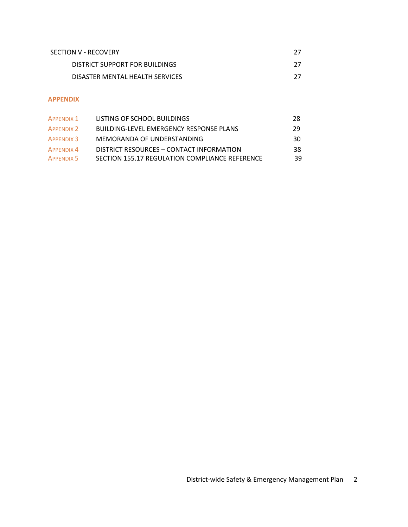| SECTION V - RECOVERY            | דכ |
|---------------------------------|----|
| DISTRICT SUPPORT FOR BUILDINGS  |    |
| DISASTER MENTAL HEALTH SERVICES | דר |

# **APPENDIX**

| APPFNDIX 1        | LISTING OF SCHOOL BUILDINGS                    | 28 |
|-------------------|------------------------------------------------|----|
| APPENDIX 2        | BUILDING-LEVEL EMERGENCY RESPONSE PLANS        | 29 |
| <b>APPENDIX 3</b> | MEMORANDA OF UNDERSTANDING                     | 30 |
| APPFNDIX 4        | DISTRICT RESOURCES - CONTACT INFORMATION       | 38 |
| APPENDIX 5        | SECTION 155.17 REGULATION COMPLIANCE REFERENCE | 39 |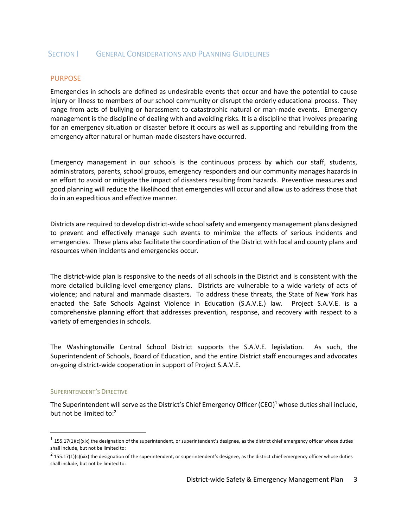# SECTION **SECTION** GENERAL CONSIDERATIONS AND PLANNING GUIDELINES

#### PURPOSE

Emergencies in schools are defined as undesirable events that occur and have the potential to cause injury or illness to members of our school community or disrupt the orderly educational process. They range from acts of bullying or harassment to catastrophic natural or man-made events. Emergency management is the discipline of dealing with and avoiding risks. It is a discipline that involves preparing for an emergency situation or disaster before it occurs as well as supporting and rebuilding from the emergency after natural or human-made disasters have occurred.

Emergency management in our schools is the continuous process by which our staff, students, administrators, parents, school groups, emergency responders and our community manages hazards in an effort to avoid or mitigate the impact of disasters resulting from hazards. Preventive measures and good planning will reduce the likelihood that emergencies will occur and allow us to address those that do in an expeditious and effective manner.

Districts are required to develop district-wide school safety and emergency management plans designed to prevent and effectively manage such events to minimize the effects of serious incidents and emergencies. These plans also facilitate the coordination of the District with local and county plans and resources when incidents and emergencies occur.

The district-wide plan is responsive to the needs of all schools in the District and is consistent with the more detailed building-level emergency plans. Districts are vulnerable to a wide variety of acts of violence; and natural and manmade disasters. To address these threats, the State of New York has enacted the Safe Schools Against Violence in Education (S.A.V.E.) law. Project S.A.V.E. is a comprehensive planning effort that addresses prevention, response, and recovery with respect to a variety of emergencies in schools.

The Washingtonville Central School District supports the S.A.V.E. legislation. As such, the Superintendent of Schools, Board of Education, and the entire District staff encourages and advocates on-going district-wide cooperation in support of Project S.A.V.E.

#### SUPERINTENDENT'S DIRECTIVE

 $\overline{a}$ 

The Superintendent will serve as the District's Chief Emergency Officer (CEO)<sup>1</sup> whose duties shall include, but not be limited to:<sup>2</sup>

 $^1$  155.17(1)(c)(xix) the designation of the superintendent, or superintendent's designee, as the district chief emergency officer whose duties shall include, but not be limited to:

 $^2$  155.17(1)(c)(xix) the designation of the superintendent, or superintendent's designee, as the district chief emergency officer whose duties shall include, but not be limited to: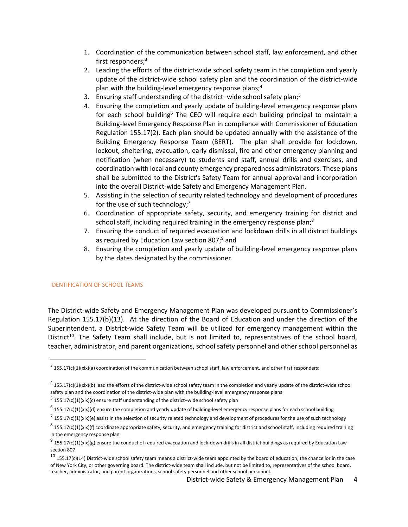- 1. Coordination of the communication between school staff, law enforcement, and other first responders; 3
- 2. Leading the efforts of the district-wide school safety team in the completion and yearly update of the district-wide school safety plan and the coordination of the district-wide plan with the building-level emergency response plans; 4
- 3. Ensuring staff understanding of the district-wide school safety plan;<sup>5</sup>
- 4. Ensuring the completion and yearly update of building-level emergency response plans for each school building<sup>6</sup> The CEO will require each building principal to maintain a Building-level Emergency Response Plan in compliance with Commissioner of Education Regulation 155.17(2). Each plan should be updated annually with the assistance of the Building Emergency Response Team (BERT). The plan shall provide for lockdown, lockout, sheltering, evacuation, early dismissal, fire and other emergency planning and notification (when necessary) to students and staff, annual drills and exercises, and coordination with local and county emergency preparedness administrators. These plans shall be submitted to the District's Safety Team for annual approval and incorporation into the overall District-wide Safety and Emergency Management Plan.
- 5. Assisting in the selection of security related technology and development of procedures for the use of such technology;<sup>7</sup>
- 6. Coordination of appropriate safety, security, and emergency training for district and school staff, including required training in the emergency response plan;<sup>8</sup>
- 7. Ensuring the conduct of required evacuation and lockdown drills in all district buildings as required by Education Law section 807;<sup>9</sup> and
- 8. Ensuring the completion and yearly update of building-level emergency response plans by the dates designated by the commissioner.

#### IDENTIFICATION OF SCHOOL TEAMS

 $\overline{a}$ 

The District-wide Safety and Emergency Management Plan was developed pursuant to Commissioner's Regulation 155.17(b)(13). At the direction of the Board of Education and under the direction of the Superintendent, a District-wide Safety Team will be utilized for emergency management within the District<sup>10</sup>. The Safety Team shall include, but is not limited to, representatives of the school board, teacher, administrator, and parent organizations, school safety personnel and other school personnel as

 $^3$  155.17(c)(1)(xix)(a) coordination of the communication between school staff, law enforcement, and other first responders;

 $^4$  155.17(c)(1)(xix)(b) lead the efforts of the district-wide school safety team in the completion and yearly update of the district-wide school safety plan and the coordination of the district-wide plan with the building-level emergency response plans

 $^5$  155.17(c)(1)(xix)(c) ensure staff understanding of the district–wide school safety plan

 $^6$  155.17(c)(1)(xix)(d) ensure the completion and yearly update of building-level emergency response plans for each school building

 $^7$  155.17(c)(1)(xix)(e) assist in the selection of security related technology and development of procedures for the use of such technology

 $^8$  155.17(c)(1)(xix)(f) coordinate appropriate safety, security, and emergency training for district and school staff, including required training in the emergency response plan

 $^9$  155.17(c)(1)(xix)(g) ensure the conduct of required evacuation and lock-down drills in all district buildings as required by Education Law section 807

 $10$  155.17(c)(14) District-wide school safety team means a district-wide team appointed by the board of education, the chancellor in the case of New York City, or other governing board. The district-wide team shall include, but not be limited to, representatives of the school board, teacher, administrator, and parent organizations, school safety personnel and other school personnel.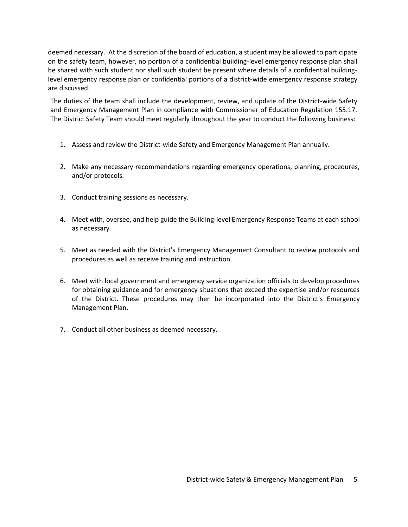deemed necessary. At the discretion of the board of education, a student may be allowed to participate on the safety team, however, no portion of a confidential building-level emergency response plan shall be shared with such student nor shall such student be present where details of a confidential buildinglevel emergency response plan or confidential portions of a district-wide emergency response strategy are discussed.

The duties of the team shall include the development, review, and update of the District-wide Safety and Emergency Management Plan in compliance with Commissioner of Education Regulation 155.17. The District Safety Team should meet regularly throughout the year to conduct the following business:

- 1. Assess and review the District-wide Safety and Emergency Management Plan annually.
- 2. Make any necessary recommendations regarding emergency operations, planning, procedures, and/or protocols.
- 3. Conduct training sessions as necessary.
- 4. Meet with, oversee, and help guide the Building-level Emergency Response Teams at each school as necessary.
- 5. Meet as needed with the District's Emergency Management Consultant to review protocols and procedures as well as receive training and instruction.
- 6. Meet with local government and emergency service organization officials to develop procedures for obtaining guidance and for emergency situations that exceed the expertise and/or resources of the District. These procedures may then be incorporated into the District's Emergency Management Plan.
- 7. Conduct all other business as deemed necessary.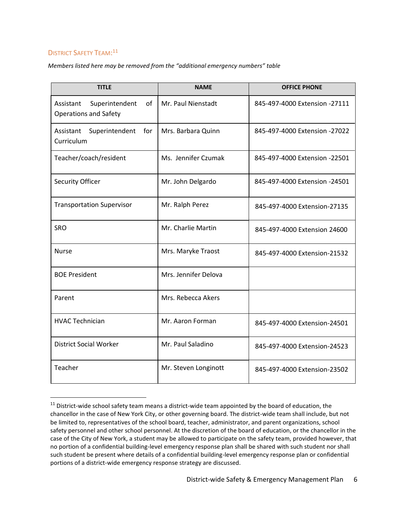# DISTRICT SAFETY TEAM:<sup>11</sup>

 $\overline{a}$ 

*Members listed here may be removed from the "additional emergency numbers" table*

| <b>TITLE</b>                                                      | <b>NAME</b>          | <b>OFFICE PHONE</b>           |
|-------------------------------------------------------------------|----------------------|-------------------------------|
| Superintendent<br>of<br>Assistant<br><b>Operations and Safety</b> | Mr. Paul Nienstadt   | 845-497-4000 Extension -27111 |
| Assistant<br>Superintendent<br>for<br>Curriculum                  | Mrs. Barbara Quinn   | 845-497-4000 Extension -27022 |
| Teacher/coach/resident                                            | Ms. Jennifer Czumak  | 845-497-4000 Extension -22501 |
| Security Officer                                                  | Mr. John Delgardo    | 845-497-4000 Extension -24501 |
| <b>Transportation Supervisor</b>                                  | Mr. Ralph Perez      | 845-497-4000 Extension-27135  |
| <b>SRO</b>                                                        | Mr. Charlie Martin   | 845-497-4000 Extension 24600  |
| <b>Nurse</b>                                                      | Mrs. Maryke Traost   | 845-497-4000 Extension-21532  |
| <b>BOE President</b>                                              | Mrs. Jennifer Delova |                               |
| Parent                                                            | Mrs. Rebecca Akers   |                               |
| <b>HVAC Technician</b>                                            | Mr. Aaron Forman     | 845-497-4000 Extension-24501  |
| <b>District Social Worker</b>                                     | Mr. Paul Saladino    | 845-497-4000 Extension-24523  |
| Teacher                                                           | Mr. Steven Longinott | 845-497-4000 Extension-23502  |

 $11$  District-wide school safety team means a district-wide team appointed by the board of education, the chancellor in the case of New York City, or other governing board. The district-wide team shall include, but not be limited to, representatives of the school board, teacher, administrator, and parent organizations, school safety personnel and other school personnel. At the discretion of the board of education, or the chancellor in the case of the City of New York, a student may be allowed to participate on the safety team, provided however, that no portion of a confidential building-level emergency response plan shall be shared with such student nor shall such student be present where details of a confidential building-level emergency response plan or confidential portions of a district-wide emergency response strategy are discussed.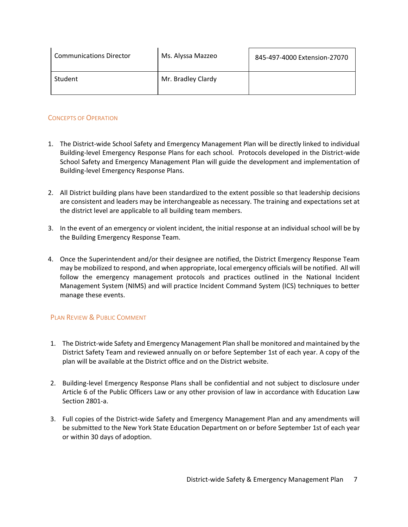| <b>Communications Director</b> | Ms. Alyssa Mazzeo  | 845-497-4000 Extension-27070 |
|--------------------------------|--------------------|------------------------------|
| Student                        | Mr. Bradley Clardy |                              |

# CONCEPTS OF OPERATION

- 1. The District-wide School Safety and Emergency Management Plan will be directly linked to individual Building-level Emergency Response Plans for each school. Protocols developed in the District-wide School Safety and Emergency Management Plan will guide the development and implementation of Building-level Emergency Response Plans.
- 2. All District building plans have been standardized to the extent possible so that leadership decisions are consistent and leaders may be interchangeable as necessary. The training and expectations set at the district level are applicable to all building team members.
- 3. In the event of an emergency or violent incident, the initial response at an individual school will be by the Building Emergency Response Team.
- 4. Once the Superintendent and/or their designee are notified, the District Emergency Response Team may be mobilized to respond, and when appropriate, local emergency officials will be notified. All will follow the emergency management protocols and practices outlined in the National Incident Management System (NIMS) and will practice Incident Command System (ICS) techniques to better manage these events.

# PLAN REVIEW & PUBLIC COMMENT

- 1. The District-wide Safety and Emergency Management Plan shall be monitored and maintained by the District Safety Team and reviewed annually on or before September 1st of each year. A copy of the plan will be available at the District office and on the District website.
- 2. Building-level Emergency Response Plans shall be confidential and not subject to disclosure under Article 6 of the Public Officers Law or any other provision of law in accordance with Education Law Section 2801-a.
- 3. Full copies of the District-wide Safety and Emergency Management Plan and any amendments will be submitted to the New York State Education Department on or before September 1st of each year or within 30 days of adoption.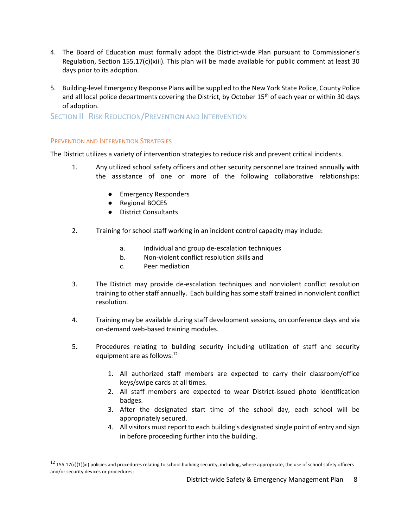- 4. The Board of Education must formally adopt the District-wide Plan pursuant to Commissioner's Regulation, Section 155.17(c)(xiii). This plan will be made available for public comment at least 30 days prior to its adoption.
- 5. Building-level Emergency Response Plans will be supplied to the New York State Police, County Police and all local police departments covering the District, by October 15<sup>th</sup> of each year or within 30 days of adoption.

SECTION II RISK REDUCTION/PREVENTION AND INTERVENTION

#### PREVENTION AND INTERVENTION STRATEGIES

 $\overline{a}$ 

The District utilizes a variety of intervention strategies to reduce risk and prevent critical incidents.

- 1. Any utilized school safety officers and other security personnel are trained annually with the assistance of one or more of the following collaborative relationships:
	- Emergency Responders
	- Regional BOCES
	- District Consultants
- 2. Training for school staff working in an incident control capacity may include:
	- a. Individual and group de-escalation techniques
	- b. Non-violent conflict resolution skills and
	- c. Peer mediation
- 3. The District may provide de-escalation techniques and nonviolent conflict resolution training to other staff annually. Each building hassome staff trained in nonviolent conflict resolution.
- 4. Training may be available during staff development sessions, on conference days and via on-demand web-based training modules.
- 5. Procedures relating to building security including utilization of staff and security equipment are as follows:<sup>12</sup>
	- 1. All authorized staff members are expected to carry their classroom/office keys/swipe cards at all times.
	- 2. All staff members are expected to wear District-issued photo identification badges.
	- 3. After the designated start time of the school day, each school will be appropriately secured.
	- 4. All visitors must report to each building's designated single point of entry and sign in before proceeding further into the building.

 $12$  155.17(c)(1)(xi) policies and procedures relating to school building security, including, where appropriate, the use of school safety officers and/or security devices or procedures;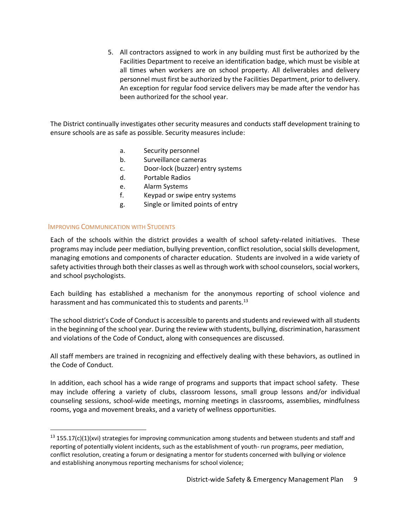5. All contractors assigned to work in any building must first be authorized by the Facilities Department to receive an identification badge, which must be visible at all times when workers are on school property. All deliverables and delivery personnel must first be authorized by the Facilities Department, prior to delivery. An exception for regular food service delivers may be made after the vendor has been authorized for the school year.

The District continually investigates other security measures and conducts staff development training to ensure schools are as safe as possible. Security measures include:

- a. Security personnel
- b. Surveillance cameras
- c. Door-lock (buzzer) entry systems
- d. Portable Radios
- e. Alarm Systems
- f. Keypad or swipe entry systems
- g. Single or limited points of entry

#### IMPROVING COMMUNICATION WITH STUDENTS

 $\overline{a}$ 

Each of the schools within the district provides a wealth of school safety-related initiatives. These programs may include peer mediation, bullying prevention, conflict resolution, socialskills development, managing emotions and components of character education. Students are involved in a wide variety of safety activities through both their classes as well as through work with school counselors, social workers, and school psychologists.

Each building has established a mechanism for the anonymous reporting of school violence and harassment and has communicated this to students and parents.<sup>13</sup>

The school district's Code of Conduct is accessible to parents and students and reviewed with all students in the beginning of the school year. During the review with students, bullying, discrimination, harassment and violations of the Code of Conduct, along with consequences are discussed.

All staff members are trained in recognizing and effectively dealing with these behaviors, as outlined in the Code of Conduct.

In addition, each school has a wide range of programs and supports that impact school safety. These may include offering a variety of clubs, classroom lessons, small group lessons and/or individual counseling sessions, school-wide meetings, morning meetings in classrooms, assemblies, mindfulness rooms, yoga and movement breaks, and a variety of wellness opportunities.

 $13$  155.17(c)(1)(xvi) strategies for improving communication among students and between students and staff and reporting of potentially violent incidents, such as the establishment of youth- run programs, peer mediation, conflict resolution, creating a forum or designating a mentor for students concerned with bullying or violence and establishing anonymous reporting mechanisms for school violence;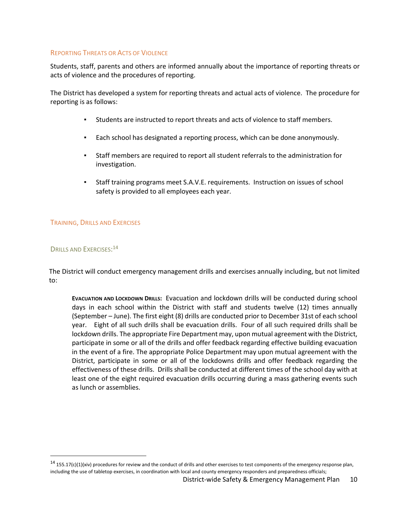#### REPORTING THREATS OR ACTS OF VIOLENCE

Students, staff, parents and others are informed annually about the importance of reporting threats or acts of violence and the procedures of reporting.

The District has developed a system for reporting threats and actual acts of violence. The procedure for reporting is as follows:

- Students are instructed to report threats and acts of violence to staff members.
- Each school has designated a reporting process, which can be done anonymously.
- Staff members are required to report all student referrals to the administration for investigation.
- Staff training programs meet S.A.V.E. requirements. Instruction on issues of school safety is provided to all employees each year.

#### TRAINING, DRILLS AND EXERCISES

# DRILLS AND EXERCISES: 14

 $\overline{a}$ 

The District will conduct emergency management drills and exercises annually including, but not limited to:

**EVACUATION AND LOCKDOWN DRILLS:** Evacuation and lockdown drills will be conducted during school days in each school within the District with staff and students twelve (12) times annually (September – June). The first eight (8) drills are conducted prior to December 31st of each school year. Eight of all such drills shall be evacuation drills. Four of all such required drills shall be lockdown drills. The appropriate Fire Department may, upon mutual agreement with the District, participate in some or all of the drills and offer feedback regarding effective building evacuation in the event of a fire. The appropriate Police Department may upon mutual agreement with the District, participate in some or all of the lockdowns drills and offer feedback regarding the effectiveness of these drills. Drills shall be conducted at different times of the school day with at least one of the eight required evacuation drills occurring during a mass gathering events such as lunch or assemblies.

 $14$  155.17(c)(1)(xiv) procedures for review and the conduct of drills and other exercises to test components of the emergency response plan, including the use of tabletop exercises, in coordination with local and county emergency responders and preparedness officials;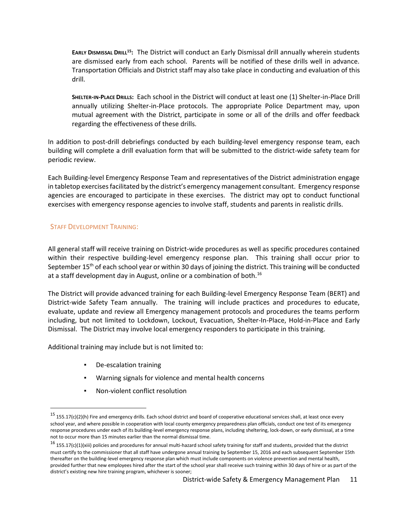**EARLY DISMISSAL DRILL <sup>15</sup>:** The District will conduct an Early Dismissal drill annually wherein students are dismissed early from each school. Parents will be notified of these drills well in advance. Transportation Officials and District staff may also take place in conducting and evaluation of this drill.

**SHELTER-IN-PLACE DRILLS:** Each school in the District will conduct at least one (1) Shelter-in-Place Drill annually utilizing Shelter-in-Place protocols. The appropriate Police Department may, upon mutual agreement with the District, participate in some or all of the drills and offer feedback regarding the effectiveness of these drills.

In addition to post-drill debriefings conducted by each building-level emergency response team, each building will complete a drill evaluation form that will be submitted to the district-wide safety team for periodic review.

Each Building-level Emergency Response Team and representatives of the District administration engage in tabletop exercises facilitated by the district's emergency management consultant. Emergency response agencies are encouraged to participate in these exercises. The district may opt to conduct functional exercises with emergency response agencies to involve staff, students and parents in realistic drills.

#### STAFF DEVELOPMENT TRAINING:

 $\overline{a}$ 

All general staff will receive training on District-wide procedures as well as specific procedures contained within their respective building-level emergency response plan. This training shall occur prior to September 15<sup>th</sup> of each school year or within 30 days of joining the district. This training will be conducted at a staff development day in August, online or a combination of both. 16

The District will provide advanced training for each Building-level Emergency Response Team (BERT) and District-wide Safety Team annually. The training will include practices and procedures to educate, evaluate, update and review all Emergency management protocols and procedures the teams perform including, but not limited to Lockdown, Lockout, Evacuation, Shelter-In-Place, Hold-in-Place and Early Dismissal. The District may involve local emergency responders to participate in this training.

Additional training may include but is not limited to:

- De-escalation training
- Warning signals for violence and mental health concerns
- Non-violent conflict resolution

 $15$  155.17(c)(2)(h) Fire and emergency drills. Each school district and board of cooperative educational services shall, at least once every school year, and where possible in cooperation with local county emergency preparedness plan officials, conduct one test of its emergency response procedures under each of its building-level emergency response plans, including sheltering, lock-down, or early dismissal, at a time not to occur more than 15 minutes earlier than the normal dismissal time.

<sup>&</sup>lt;sup>16</sup> 155.17(c)(1)(xiii) policies and procedures for annual multi-hazard school safety training for staff and students, provided that the district must certify to the commissioner that all staff have undergone annual training by September 15, 2016 and each subsequent September 15th thereafter on the building-level emergency response plan which must include components on violence prevention and mental health, provided further that new employees hired after the start of the school year shall receive such training within 30 days of hire or as part of the district's existing new hire training program, whichever is sooner;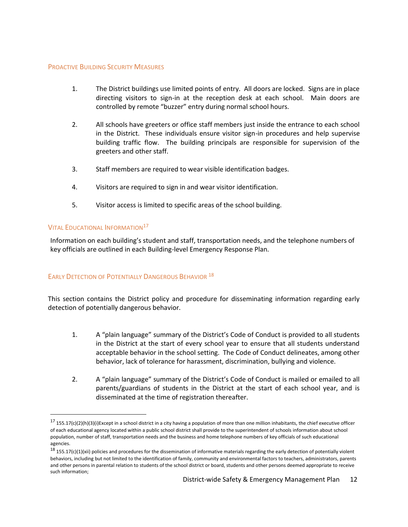#### PROACTIVE BUILDING SECURITY MEASURES

- 1. The District buildings use limited points of entry. All doors are locked. Signs are in place directing visitors to sign-in at the reception desk at each school. Main doors are controlled by remote "buzzer" entry during normal school hours.
- 2. All schools have greeters or office staff members just inside the entrance to each school in the District. These individuals ensure visitor sign-in procedures and help supervise building traffic flow. The building principals are responsible for supervision of the greeters and other staff.
- 3. Staff members are required to wear visible identification badges.
- 4. Visitors are required to sign in and wear visitor identification.
- 5. Visitor access is limited to specific areas of the school building.

#### **VITAL EDUCATIONAL INFORMATION**<sup>17</sup>

 $\overline{a}$ 

Information on each building's student and staff, transportation needs, and the telephone numbers of key officials are outlined in each Building-level Emergency Response Plan.

# EARLY DETECTION OF POTENTIALLY DANGEROUS BEHAVIOR<sup>18</sup>

This section contains the District policy and procedure for disseminating information regarding early detection of potentially dangerous behavior.

- 1. A "plain language" summary of the District's Code of Conduct is provided to all students in the District at the start of every school year to ensure that all students understand acceptable behavior in the school setting. The Code of Conduct delineates, among other behavior, lack of tolerance for harassment, discrimination, bullying and violence.
- 2. A "plain language" summary of the District's Code of Conduct is mailed or emailed to all parents/guardians of students in the District at the start of each school year, and is disseminated at the time of registration thereafter.

 $17$  155.17(c)(2)(h)(3)(i)Except in a school district in a city having a population of more than one million inhabitants, the chief executive officer of each educational agency located within a public school district shall provide to the superintendent of schools information about school population, number of staff, transportation needs and the business and home telephone numbers of key officials of such educational agencies.

 $18$  155.17(c)(1)(xii) policies and procedures for the dissemination of informative materials regarding the early detection of potentially violent behaviors, including but not limited to the identification of family, community and environmental factors to teachers, administrators, parents and other persons in parental relation to students of the school district or board, students and other persons deemed appropriate to receive such information;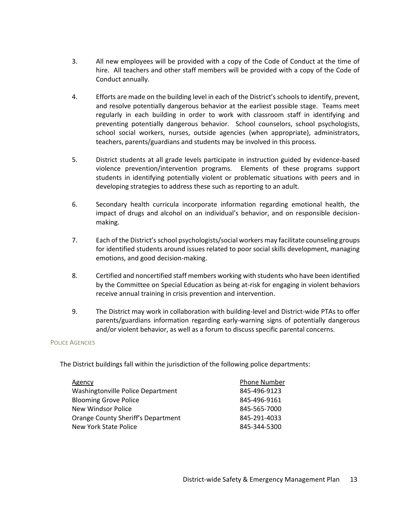- 3. All new employees will be provided with a copy of the Code of Conduct at the time of hire. All teachers and other staff members will be provided with a copy of the Code of Conduct annually.
- 4. Efforts are made on the building level in each of the District's schools to identify, prevent, and resolve potentially dangerous behavior at the earliest possible stage. Teams meet regularly in each building in order to work with classroom staff in identifying and preventing potentially dangerous behavior. School counselors, school psychologists, school social workers, nurses, outside agencies (when appropriate), administrators, teachers, parents/guardians and students may be involved in this process.
- 5. District students at all grade levels participate in instruction guided by evidence-based violence prevention/intervention programs*.* Elements of these programs support students in identifying potentially violent or problematic situations with peers and in developing strategies to address these such as reporting to an adult.
- 6. Secondary health curricula incorporate information regarding emotional health, the impact of drugs and alcohol on an individual's behavior, and on responsible decisionmaking.
- 7. Each of the District's school psychologists/social workers may facilitate counseling groups for identified students around issues related to poor social skills development, managing emotions, and good decision-making.
- 8. Certified and noncertified staff members working with students who have been identified by the Committee on Special Education as being at-risk for engaging in violent behaviors receive annual training in crisis prevention and intervention.
- 9. The District may work in collaboration with building-level and District-wide PTAs to offer parents/guardians information regarding early-warning signs of potentially dangerous and/or violent behavior, as well as a forum to discuss specific parental concerns.

#### POLICE AGENCIES

The District buildings fall within the jurisdiction of the following police departments:

| Agency                             | <b>Phone Number</b> |
|------------------------------------|---------------------|
| Washingtonville Police Department  | 845-496-9123        |
| <b>Blooming Grove Police</b>       | 845-496-9161        |
| New Windsor Police                 | 845-565-7000        |
| Orange County Sheriff's Department | 845-291-4033        |
| New York State Police              | 845-344-5300        |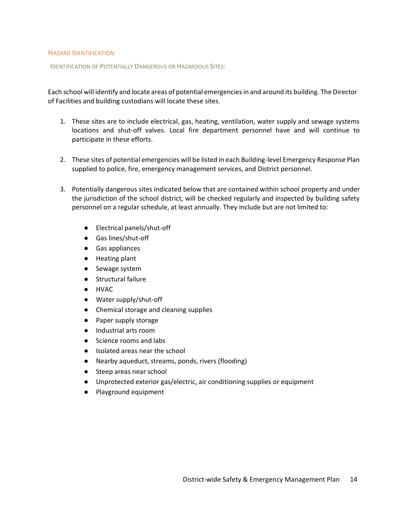#### HAZARD IDENTIFICATION

IDENTIFICATION OF POTENTIALLY DANGEROUS OR HAZARDOUS SITES:

Each school will identify and locate areas of potential emergencies in and around its building. The Director of Facilities and building custodians will locate these sites.

- 1. These sites are to include electrical, gas, heating, ventilation, water supply and sewage systems locations and shut-off valves. Local fire department personnel have and will continue to participate in these efforts.
- 2. These sites of potential emergencies will be listed in each Building-level Emergency Response Plan supplied to police, fire, emergency management services, and District personnel.
- 3. Potentially dangerous sites indicated below that are contained within school property and under the jurisdiction of the school district, will be checked regularly and inspected by building safety personnel on a regular schedule, at least annually. They include but are not limited to:
	- Electrical panels/shut-off
	- Gas lines/shut-off
	- Gas appliances
	- Heating plant
	- Sewage system
	- Structural failure
	- HVAC
	- Water supply/shut-off
	- Chemical storage and cleaning supplies
	- Paper supply storage
	- Industrial arts room
	- Science rooms and labs
	- Isolated areas near the school
	- Nearby aqueduct, streams, ponds, rivers (flooding)
	- Steep areas near school
	- Unprotected exterior gas/electric, air conditioning supplies or equipment
	- Playground equipment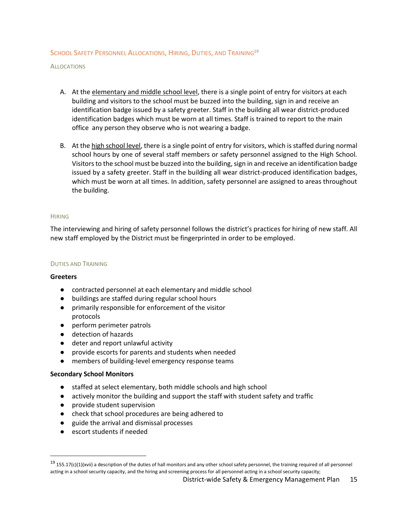#### SCHOOL SAFETY PERSONNEL ALLOCATIONS, HIRING, DUTIES, AND TRAINING<sup>19</sup>

**ALLOCATIONS** 

- A. At the elementary and middle school level, there is a single point of entry for visitors at each building and visitors to the school must be buzzed into the building, sign in and receive an identification badge issued by a safety greeter. Staff in the building all wear district-produced identification badges which must be worn at all times. Staff is trained to report to the main office any person they observe who is not wearing a badge.
- B. At the high school level, there is a single point of entry for visitors, which is staffed during normal school hours by one of several staff members or safety personnel assigned to the High School. Visitors to the school must be buzzed into the building, sign in and receive an identification badge issued by a safety greeter. Staff in the building all wear district-produced identification badges, which must be worn at all times. In addition, safety personnel are assigned to areas throughout the building.

#### **HIRING**

The interviewing and hiring of safety personnel follows the district's practices for hiring of new staff. All new staff employed by the District must be fingerprinted in order to be employed.

#### DUTIES AND TRAINING

#### **Greeters**

- contracted personnel at each elementary and middle school
- buildings are staffed during regular school hours
- primarily responsible for enforcement of the visitor protocols
- perform perimeter patrols
- detection of hazards
- deter and report unlawful activity
- provide escorts for parents and students when needed
- members of building-level emergency response teams

#### **Secondary School Monitors**

- staffed at select elementary, both middle schools and high school
- actively monitor the building and support the staff with student safety and traffic
- provide student supervision
- check that school procedures are being adhered to
- guide the arrival and dismissal processes
- escort students if needed

 $19$  155.17(c)(1)(xvii) a description of the duties of hall monitors and any other school safety personnel, the training required of all personnel acting in a school security capacity, and the hiring and screening process for all personnel acting in a school security capacity;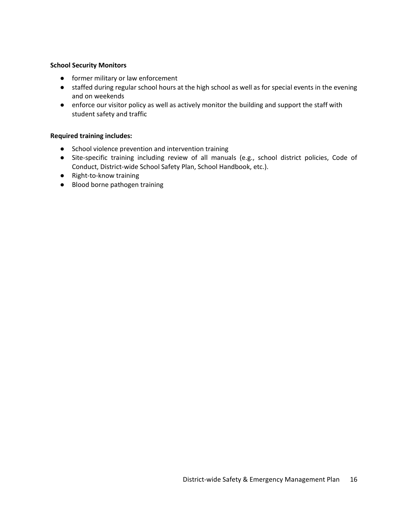#### **School Security Monitors**

- former military or law enforcement
- staffed during regular school hours at the high school as well as for special events in the evening and on weekends
- enforce our visitor policy as well as actively monitor the building and support the staff with student safety and traffic

#### **Required training includes:**

- School violence prevention and intervention training
- Site-specific training including review of all manuals (e.g., school district policies, Code of Conduct, District-wide School Safety Plan, School Handbook, etc.).
- Right-to-know training
- Blood borne pathogen training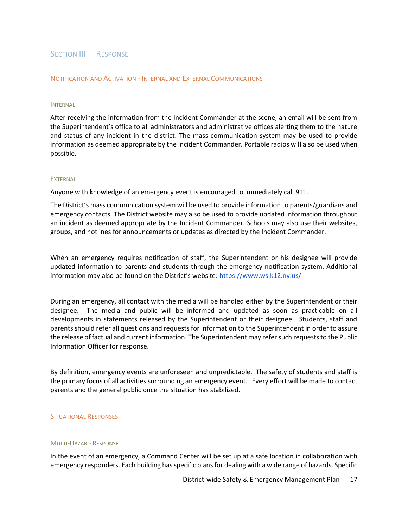# SECTION III RESPONSE

#### NOTIFICATION AND ACTIVATION - INTERNAL AND EXTERNAL COMMUNICATIONS

#### INTERNAL

After receiving the information from the Incident Commander at the scene, an email will be sent from the Superintendent's office to all administrators and administrative offices alerting them to the nature and status of any incident in the district. The mass communication system may be used to provide information as deemed appropriate by the Incident Commander. Portable radios will also be used when possible.

#### **EXTERNAL**

Anyone with knowledge of an emergency event is encouraged to immediately call 911.

The District's mass communication system will be used to provide information to parents/guardians and emergency contacts. The District website may also be used to provide updated information throughout an incident as deemed appropriate by the Incident Commander. Schools may also use their websites, groups, and hotlines for announcements or updates as directed by the Incident Commander.

When an emergency requires notification of staff, the Superintendent or his designee will provide updated information to parents and students through the emergency notification system. Additional information may also be found on the District's website: https://www.ws.k12.ny.us/

During an emergency, all contact with the media will be handled either by the Superintendent or their designee. The media and public will be informed and updated as soon as practicable on all developments in statements released by the Superintendent or their designee. Students, staff and parents should refer all questions and requests for information to the Superintendent in order to assure the release of factual and current information. The Superintendent may refer such requests to the Public Information Officer for response.

By definition, emergency events are unforeseen and unpredictable. The safety of students and staff is the primary focus of all activities surrounding an emergency event. Every effort will be made to contact parents and the general public once the situation has stabilized.

#### SITUATIONAL RESPONSES

#### MULTI-HAZARD RESPONSE

In the event of an emergency, a Command Center will be set up at a safe location in collaboration with emergency responders. Each building has specific plansfor dealing with a wide range of hazards. Specific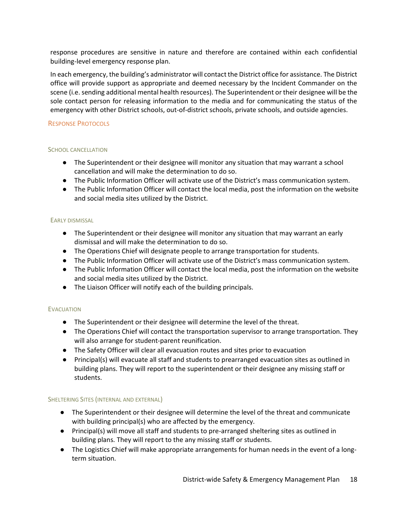response procedures are sensitive in nature and therefore are contained within each confidential building-level emergency response plan.

In each emergency, the building's administrator will contact the District office for assistance. The District office will provide support as appropriate and deemed necessary by the Incident Commander on the scene (i.e. sending additional mental health resources). The Superintendent or their designee will be the sole contact person for releasing information to the media and for communicating the status of the emergency with other District schools, out-of-district schools, private schools, and outside agencies.

#### RESPONSE PROTOCOLS

#### SCHOOL CANCELLATION

- The Superintendent or their designee will monitor any situation that may warrant a school cancellation and will make the determination to do so.
- The Public Information Officer will activate use of the District's mass communication system.
- The Public Information Officer will contact the local media, post the information on the website and social media sites utilized by the District.

#### EARLY DISMISSAL

- The Superintendent or their designee will monitor any situation that may warrant an early dismissal and will make the determination to do so.
- The Operations Chief will designate people to arrange transportation for students.
- The Public Information Officer will activate use of the District's mass communication system.
- The Public Information Officer will contact the local media, post the information on the website and social media sites utilized by the District.
- The Liaison Officer will notify each of the building principals.

#### **EVACUATION**

- The Superintendent or their designee will determine the level of the threat.
- The Operations Chief will contact the transportation supervisor to arrange transportation. They will also arrange for student-parent reunification.
- The Safety Officer will clear all evacuation routes and sites prior to evacuation
- Principal(s) will evacuate all staff and students to prearranged evacuation sites as outlined in building plans. They will report to the superintendent or their designee any missing staff or students.

#### SHELTERING SITES (INTERNAL AND EXTERNAL)

- The Superintendent or their designee will determine the level of the threat and communicate with building principal(s) who are affected by the emergency.
- Principal(s) will move all staff and students to pre-arranged sheltering sites as outlined in building plans. They will report to the any missing staff or students.
- The Logistics Chief will make appropriate arrangements for human needs in the event of a longterm situation.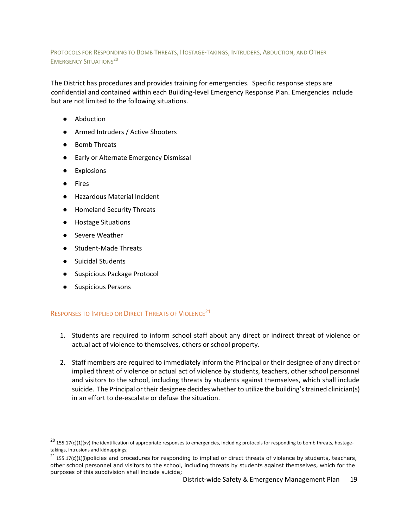#### PROTOCOLS FOR RESPONDING TO BOMB THREATS, HOSTAGE-TAKINGS, INTRUDERS, ABDUCTION, AND OTHER **EMERGENCY SITUATIONS<sup>20</sup>**

The District has procedures and provides training for emergencies. Specific response steps are confidential and contained within each Building-level Emergency Response Plan. Emergencies include but are not limited to the following situations.

- Abduction
- Armed Intruders / Active Shooters
- Bomb Threats
- Early or Alternate Emergency Dismissal
- **Explosions**
- Fires

 $\ddot{\phantom{a}}$ 

- Hazardous Material Incident
- Homeland Security Threats
- Hostage Situations
- Severe Weather
- Student-Made Threats
- Suicidal Students
- Suspicious Package Protocol
- Suspicious Persons

# RESPONSES TO IMPLIED OR DIRECT THREATS OF VIOLENCE<sup>21</sup>

- 1. Students are required to inform school staff about any direct or indirect threat of violence or actual act of violence to themselves, others or school property.
- 2. Staff members are required to immediately inform the Principal or their designee of any direct or implied threat of violence or actual act of violence by students, teachers, other school personnel and visitors to the school, including threats by students against themselves, which shall include suicide. The Principal or their designee decides whether to utilize the building's trained clinician(s) in an effort to de-escalate or defuse the situation.

 $^{20}$  155.17(c)(1)(xv) the identification of appropriate responses to emergencies, including protocols for responding to bomb threats, hostagetakings, intrusions and kidnappings;

 $^{21}$  155.17(c)(1)(i)policies and procedures for responding to implied or direct threats of violence by students, teachers, other school personnel and visitors to the school, including threats by students against themselves, which for the purposes of this subdivision shall include suicide;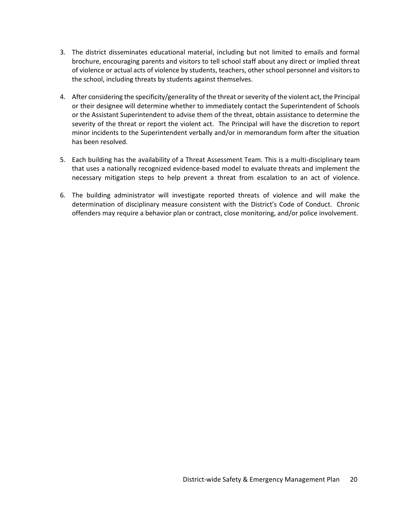- 3. The district disseminates educational material, including but not limited to emails and formal brochure, encouraging parents and visitors to tell school staff about any direct or implied threat of violence or actual acts of violence by students, teachers, other school personnel and visitors to the school, including threats by students against themselves.
- 4. After considering the specificity/generality of the threat or severity of the violent act, the Principal or their designee will determine whether to immediately contact the Superintendent of Schools or the Assistant Superintendent to advise them of the threat, obtain assistance to determine the severity of the threat or report the violent act. The Principal will have the discretion to report minor incidents to the Superintendent verbally and/or in memorandum form after the situation has been resolved.
- 5. Each building has the availability of a Threat Assessment Team. This is a multi-disciplinary team that uses a nationally recognized evidence-based model to evaluate threats and implement the necessary mitigation steps to help prevent a threat from escalation to an act of violence.
- 6. The building administrator will investigate reported threats of violence and will make the determination of disciplinary measure consistent with the District's Code of Conduct. Chronic offenders may require a behavior plan or contract, close monitoring, and/or police involvement.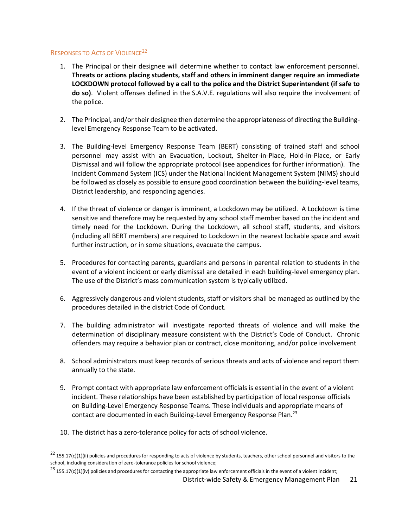#### RESPONSES TO ACTS OF VIOLENCE<sup>22</sup>

- 1. The Principal or their designee will determine whether to contact law enforcement personnel. **Threats or actions placing students, staff and others in imminent danger require an immediate LOCKDOWN protocol followed by a call to the police and the District Superintendent (if safe to do so)**. Violent offenses defined in the S.A.V.E. regulations will also require the involvement of the police.
- 2. The Principal, and/ortheir designee then determine the appropriateness of directing the Buildinglevel Emergency Response Team to be activated.
- 3. The Building-level Emergency Response Team (BERT) consisting of trained staff and school personnel may assist with an Evacuation, Lockout, Shelter-in-Place, Hold-in-Place, or Early Dismissal and will follow the appropriate protocol (see appendices for further information). The Incident Command System (ICS) under the National Incident Management System (NIMS) should be followed as closely as possible to ensure good coordination between the building-level teams, District leadership, and responding agencies.
- 4. If the threat of violence or danger is imminent, a Lockdown may be utilized. A Lockdown is time sensitive and therefore may be requested by any school staff member based on the incident and timely need for the Lockdown. During the Lockdown, all school staff, students, and visitors (including all BERT members) are required to Lockdown in the nearest lockable space and await further instruction, or in some situations, evacuate the campus.
- 5. Procedures for contacting parents, guardians and persons in parental relation to students in the event of a violent incident or early dismissal are detailed in each building-level emergency plan. The use of the District's mass communication system is typically utilized.
- 6. Aggressively dangerous and violent students, staff or visitors shall be managed as outlined by the procedures detailed in the district Code of Conduct.
- 7. The building administrator will investigate reported threats of violence and will make the determination of disciplinary measure consistent with the District's Code of Conduct. Chronic offenders may require a behavior plan or contract, close monitoring, and/or police involvement
- 8. School administrators must keep records of serious threats and acts of violence and report them annually to the state.
- 9. Prompt contact with appropriate law enforcement officials is essential in the event of a violent incident. These relationships have been established by participation of local response officials on Building-Level Emergency Response Teams. These individuals and appropriate means of contact are documented in each Building-Level Emergency Response Plan.<sup>23</sup>
- 10. The district has a zero-tolerance policy for acts of school violence.

 $\ddot{\phantom{a}}$ 

 $^{22}$  155.17(c)(1)(ii) policies and procedures for responding to acts of violence by students, teachers, other school personnel and visitors to the school, including consideration of zero-tolerance policies for school violence;

 $^{23}$  155.17(c)(1)(iv) policies and procedures for contacting the appropriate law enforcement officials in the event of a violent incident;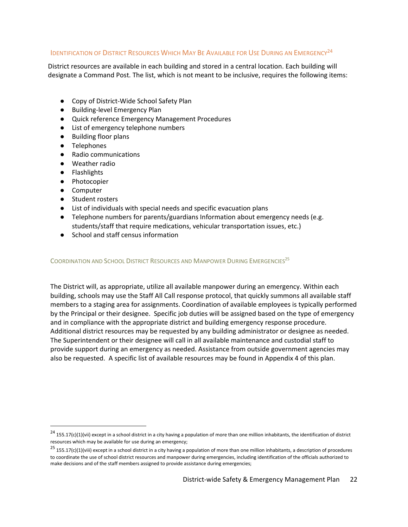# IDENTIFICATION OF DISTRICT RESOURCES WHICH MAY BE AVAILABLE FOR USE DURING AN EMERGENCY<sup>24</sup>

District resources are available in each building and stored in a central location. Each building will designate a Command Post. The list, which is not meant to be inclusive, requires the following items:

- Copy of District-Wide School Safety Plan
- Building-level Emergency Plan
- Quick reference Emergency Management Procedures
- List of emergency telephone numbers
- Building floor plans
- Telephones
- Radio communications
- Weather radio
- Flashlights
- Photocopier
- Computer

 $\overline{a}$ 

- Student rosters
- List of individuals with special needs and specific evacuation plans
- Telephone numbers for parents/guardians Information about emergency needs (e.g. students/staff that require medications, vehicular transportation issues, etc.)
- School and staff census information

COORDINATION AND SCHOOL DISTRICT RESOURCES AND MANPOWER DURING EMERGENCIES<sup>25</sup>

The District will, as appropriate, utilize all available manpower during an emergency. Within each building, schools may use the Staff All Call response protocol, that quickly summons all available staff members to a staging area for assignments. Coordination of available employees is typically performed by the Principal or their designee. Specific job duties will be assigned based on the type of emergency and in compliance with the appropriate district and building emergency response procedure. Additional district resources may be requested by any building administrator or designee as needed. The Superintendent or their designee will call in all available maintenance and custodial staff to provide support during an emergency as needed. Assistance from outside government agencies may also be requested. A specific list of available resources may be found in Appendix 4 of this plan.

 $^{24}$  155.17(c)(1)(vii) except in a school district in a city having a population of more than one million inhabitants, the identification of district resources which may be available for use during an emergency;

 $^{25}$  155.17(c)(1)(viii) except in a school district in a city having a population of more than one million inhabitants, a description of procedures to coordinate the use of school district resources and manpower during emergencies, including identification of the officials authorized to make decisions and of the staff members assigned to provide assistance during emergencies;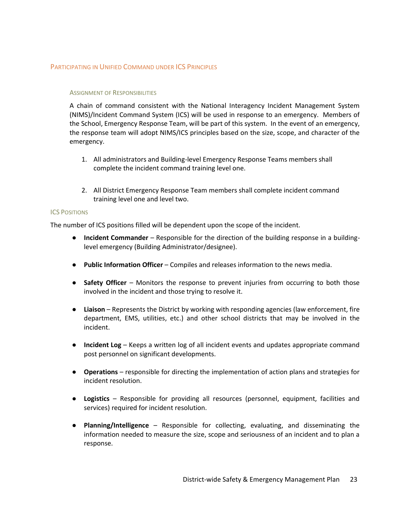#### PARTICIPATING IN UNIFIED COMMAND UNDER ICS PRINCIPLES

#### ASSIGNMENT OF RESPONSIBILITIES

A chain of command consistent with the National Interagency Incident Management System (NIMS)/Incident Command System (ICS) will be used in response to an emergency. Members of the School, Emergency Response Team, will be part of this system. In the event of an emergency, the response team will adopt NIMS/ICS principles based on the size, scope, and character of the emergency.

- 1. All administrators and Building-level Emergency Response Teams members shall complete the incident command training level one.
- 2. All District Emergency Response Team members shall complete incident command training level one and level two.

#### ICS POSITIONS

The number of ICS positions filled will be dependent upon the scope of the incident.

- **Incident Commander** Responsible for the direction of the building response in a buildinglevel emergency (Building Administrator/designee).
- **Public Information Officer** Compiles and releases information to the news media.
- **Safety Officer** Monitors the response to prevent injuries from occurring to both those involved in the incident and those trying to resolve it.
- **Liaison** Represents the District by working with responding agencies (law enforcement, fire department, EMS, utilities, etc.) and other school districts that may be involved in the incident.
- **Incident Log** Keeps a written log of all incident events and updates appropriate command post personnel on significant developments.
- **Operations** responsible for directing the implementation of action plans and strategies for incident resolution.
- **Logistics** Responsible for providing all resources (personnel, equipment, facilities and services) required for incident resolution.
- **Planning/Intelligence** Responsible for collecting, evaluating, and disseminating the information needed to measure the size, scope and seriousness of an incident and to plan a response.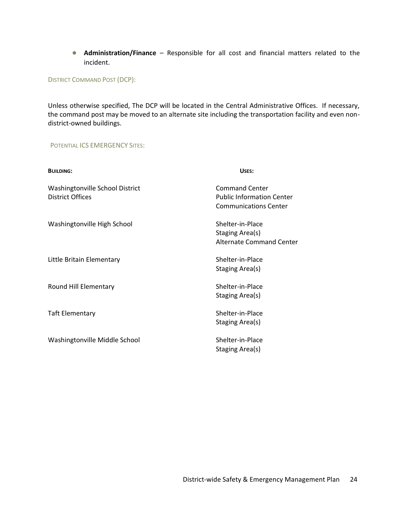● **Administration/Finance** – Responsible for all cost and financial matters related to the incident.

DISTRICT COMMAND POST (DCP):

Unless otherwise specified, The DCP will be located in the Central Administrative Offices. If necessary, the command post may be moved to an alternate site including the transportation facility and even nondistrict-owned buildings.

#### POTENTIAL ICS EMERGENCY SITES:

| <b>BUILDING:</b>                                           | USES:                                                                                     |
|------------------------------------------------------------|-------------------------------------------------------------------------------------------|
| Washingtonville School District<br><b>District Offices</b> | <b>Command Center</b><br><b>Public Information Center</b><br><b>Communications Center</b> |
| Washingtonville High School                                | Shelter-in-Place<br>Staging Area(s)<br><b>Alternate Command Center</b>                    |
| Little Britain Elementary                                  | Shelter-in-Place<br>Staging Area(s)                                                       |
| Round Hill Elementary                                      | Shelter-in-Place<br>Staging Area(s)                                                       |
| <b>Taft Elementary</b>                                     | Shelter-in-Place<br>Staging Area(s)                                                       |
| Washingtonville Middle School                              | Shelter-in-Place<br>Staging Area(s)                                                       |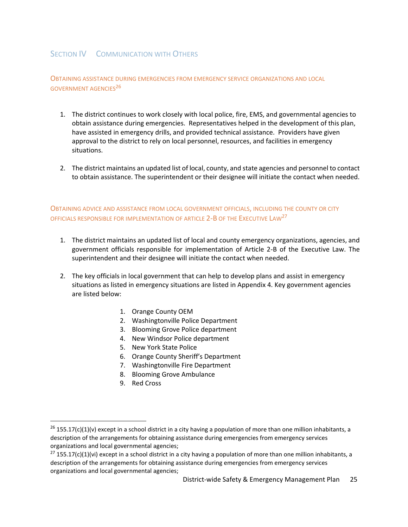# SECTION **IV** COMMUNICATION WITH OTHERS

OBTAINING ASSISTANCE DURING EMERGENCIES FROM EMERGENCY SERVICE ORGANIZATIONS AND LOCAL GOVERNMENT AGENCIES 26

- 1. The district continues to work closely with local police, fire, EMS, and governmental agencies to obtain assistance during emergencies. Representatives helped in the development of this plan, have assisted in emergency drills, and provided technical assistance. Providers have given approval to the district to rely on local personnel, resources, and facilities in emergency situations.
- 2. The district maintains an updated list of local, county, and state agencies and personnel to contact to obtain assistance. The superintendent or their designee will initiate the contact when needed.

OBTAINING ADVICE AND ASSISTANCE FROM LOCAL GOVERNMENT OFFICIALS, INCLUDING THE COUNTY OR CITY OFFICIALS RESPONSIBLE FOR IMPLEMENTATION OF ARTICLE 2-B OF THE EXECUTIVE LAW<sup>27</sup>

- 1. The district maintains an updated list of local and county emergency organizations, agencies, and government officials responsible for implementation of Article 2-B of the Executive Law. The superintendent and their designee will initiate the contact when needed.
- 2. The key officials in local government that can help to develop plans and assist in emergency situations as listed in emergency situations are listed in Appendix 4. Key government agencies are listed below:
	- 1. Orange County OEM
	- 2. Washingtonville Police Department
	- 3. Blooming Grove Police department
	- 4. New Windsor Police department
	- 5. New York State Police
	- 6. Orange County Sheriff's Department
	- 7. Washingtonville Fire Department
	- 8. Blooming Grove Ambulance
	- 9. Red Cross

 $\ddot{\phantom{a}}$ 

 $26$  155.17(c)(1)(v) except in a school district in a city having a population of more than one million inhabitants, a description of the arrangements for obtaining assistance during emergencies from emergency services organizations and local governmental agencies;

 $^{27}$  155.17(c)(1)(vi) except in a school district in a city having a population of more than one million inhabitants, a description of the arrangements for obtaining assistance during emergencies from emergency services organizations and local governmental agencies;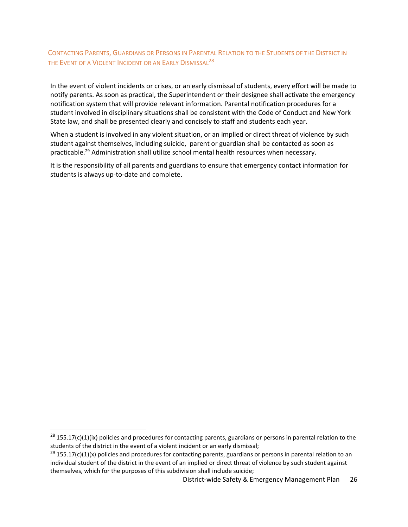# CONTACTING PARENTS, GUARDIANS OR PERSONS IN PARENTAL RELATION TO THE STUDENTS OF THE DISTRICT IN the Event of a Violent Incident or an Early Dismissal<sup>28</sup>

In the event of violent incidents or crises, or an early dismissal of students, every effort will be made to notify parents. As soon as practical, the Superintendent or their designee shall activate the emergency notification system that will provide relevant information. Parental notification procedures for a student involved in disciplinary situations shall be consistent with the Code of Conduct and New York State law, and shall be presented clearly and concisely to staff and students each year.

When a student is involved in any violent situation, or an implied or direct threat of violence by such student against themselves, including suicide, parent or guardian shall be contacted as soon as practicable.<sup>29</sup> Administration shall utilize school mental health resources when necessary.

It is the responsibility of all parents and guardians to ensure that emergency contact information for students is always up-to-date and complete.

 $\overline{a}$ 

 $^{28}$  155.17(c)(1)(ix) policies and procedures for contacting parents, guardians or persons in parental relation to the students of the district in the event of a violent incident or an early dismissal;

 $^{29}$  155.17(c)(1)(x) policies and procedures for contacting parents, guardians or persons in parental relation to an individual student of the district in the event of an implied or direct threat of violence by such student against themselves, which for the purposes of this subdivision shall include suicide;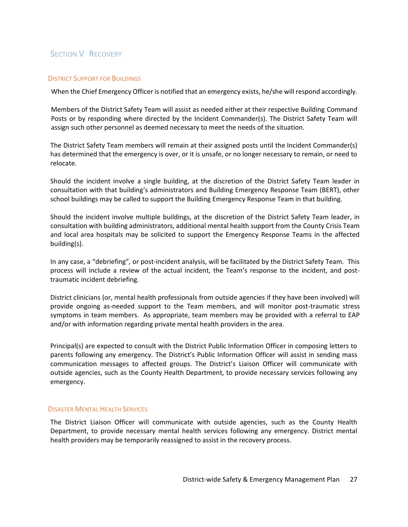# SECTION V RECOVERY

#### DISTRICT SUPPORT FOR BUILDINGS

When the Chief Emergency Officer is notified that an emergency exists, he/she will respond accordingly.

Members of the District Safety Team will assist as needed either at their respective Building Command Posts or by responding where directed by the Incident Commander(s). The District Safety Team will assign such other personnel as deemed necessary to meet the needs of the situation.

The District Safety Team members will remain at their assigned posts until the Incident Commander(s) has determined that the emergency is over, or it is unsafe, or no longer necessary to remain, or need to relocate.

Should the incident involve a single building, at the discretion of the District Safety Team leader in consultation with that building's administrators and Building Emergency Response Team (BERT), other school buildings may be called to support the Building Emergency Response Team in that building.

Should the incident involve multiple buildings, at the discretion of the District Safety Team leader, in consultation with building administrators, additional mental health support from the County Crisis Team and local area hospitals may be solicited to support the Emergency Response Teams in the affected building(s).

In any case, a "debriefing", or post-incident analysis, will be facilitated by the District Safety Team. This process will include a review of the actual incident, the Team's response to the incident, and posttraumatic incident debriefing.

District clinicians (or, mental health professionals from outside agencies if they have been involved) will provide ongoing as-needed support to the Team members, and will monitor post-traumatic stress symptoms in team members. As appropriate, team members may be provided with a referral to EAP and/or with information regarding private mental health providers in the area.

Principal(s) are expected to consult with the District Public Information Officer in composing letters to parents following any emergency. The District's Public Information Officer will assist in sending mass communication messages to affected groups. The District's Liaison Officer will communicate with outside agencies, such as the County Health Department, to provide necessary services following any emergency.

#### DISASTER MENTAL HEALTH SERVICES

The District Liaison Officer will communicate with outside agencies, such as the County Health Department, to provide necessary mental health services following any emergency. District mental health providers may be temporarily reassigned to assist in the recovery process.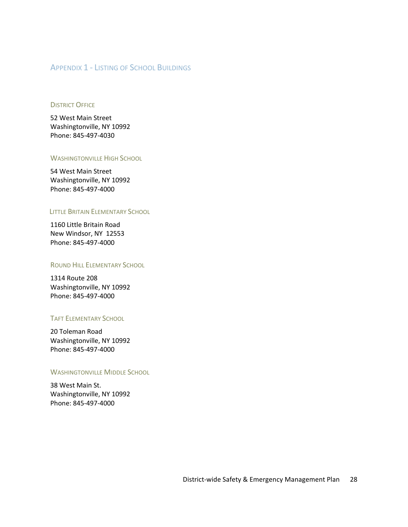# APPENDIX 1 - LISTING OF SCHOOL BUILDINGS

#### **DISTRICT OFFICE**

52 West Main Street Washingtonville, NY 10992 Phone: 845-497-4030

#### WASHINGTONVILLE HIGH SCHOOL

54 West Main Street Washingtonville, NY 10992 Phone: 845-497-4000

#### LITTLE BRITAIN ELEMENTARY SCHOOL

1160 Little Britain Road New Windsor, NY 12553 Phone: 845-497-4000

#### ROUND HILL ELEMENTARY SCHOOL

1314 Route 208 Washingtonville, NY 10992 Phone: 845-497-4000

#### TAFT ELEMENTARY SCHOOL

20 Toleman Road Washingtonville, NY 10992 Phone: 845-497-4000

#### **WASHINGTONVILLE MIDDLE SCHOOL**

38 West Main St. Washingtonville, NY 10992 Phone: 845-497-4000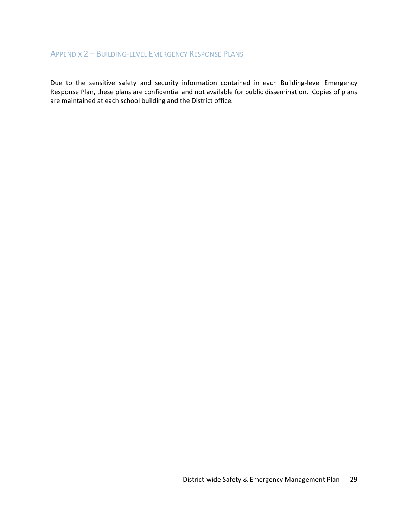# APPENDIX 2 – BUILDING-LEVEL EMERGENCY RESPONSE PLANS

Due to the sensitive safety and security information contained in each Building-level Emergency Response Plan, these plans are confidential and not available for public dissemination. Copies of plans are maintained at each school building and the District office.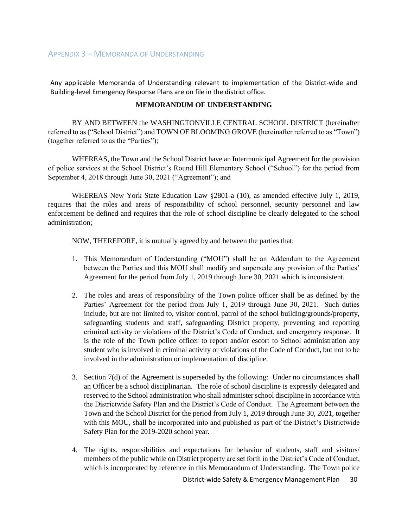Any applicable Memoranda of Understanding relevant to implementation of the District-wide and Building-level Emergency Response Plans are on file in the district office.

#### **MEMORANDUM OF UNDERSTANDING**

BY AND BETWEEN the WASHINGTONVILLE CENTRAL SCHOOL DISTRICT (hereinafter referred to as ("School District") and TOWN OF BLOOMING GROVE (hereinafter referred to as "Town") (together referred to as the "Parties");

WHEREAS, the Town and the School District have an Intermunicipal Agreement for the provision of police services at the School District's Round Hill Elementary School ("School") for the period from September 4, 2018 through June 30, 2021 ("Agreement"); and

WHEREAS New York State Education Law §2801-a (10), as amended effective July 1, 2019, requires that the roles and areas of responsibility of school personnel, security personnel and law enforcement be defined and requires that the role of school discipline be clearly delegated to the school administration;

NOW, THEREFORE, it is mutually agreed by and between the parties that:

- 1. This Memorandum of Understanding ("MOU") shall be an Addendum to the Agreement between the Parties and this MOU shall modify and supersede any provision of the Parties' Agreement for the period from July 1, 2019 through June 30, 2021 which is inconsistent.
- 2. The roles and areas of responsibility of the Town police officer shall be as defined by the Parties' Agreement for the period from July 1, 2019 through June 30, 2021. Such duties include, but are not limited to, visitor control, patrol of the school building/grounds/property, safeguarding students and staff, safeguarding District property, preventing and reporting criminal activity or violations of the District's Code of Conduct, and emergency response. It is the role of the Town police officer to report and/or escort to School administration any student who is involved in criminal activity or violations of the Code of Conduct, but not to be involved in the administration or implementation of discipline.
- 3. Section 7(d) of the Agreement is superseded by the following: Under no circumstances shall an Officer be a school disciplinarian. The role of school discipline is expressly delegated and reserved to the School administration who shall administerschool discipline in accordance with the Districtwide Safety Plan and the District's Code of Conduct. The Agreement between the Town and the School District for the period from July 1, 2019 through June 30, 2021, together with this MOU, shall be incorporated into and published as part of the District's Districtwide Safety Plan for the 2019-2020 school year.
- 4. The rights, responsibilities and expectations for behavior of students, staff and visitors/ members of the public while on District property are set forth in the District's Code of Conduct, which is incorporated by reference in this Memorandum of Understanding. The Town police

District-wide Safety & Emergency Management Plan 30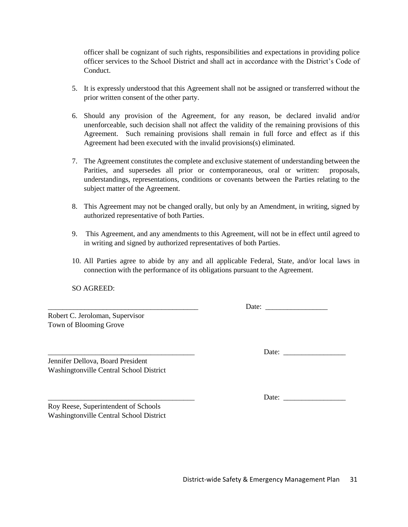officer shall be cognizant of such rights, responsibilities and expectations in providing police officer services to the School District and shall act in accordance with the District's Code of Conduct.

- 5. It is expressly understood that this Agreement shall not be assigned or transferred without the prior written consent of the other party.
- 6. Should any provision of the Agreement, for any reason, be declared invalid and/or unenforceable, such decision shall not affect the validity of the remaining provisions of this Agreement. Such remaining provisions shall remain in full force and effect as if this Agreement had been executed with the invalid provisions(s) eliminated.
- 7. The Agreement constitutes the complete and exclusive statement of understanding between the Parities, and supersedes all prior or contemporaneous, oral or written: proposals, understandings, representations, conditions or covenants between the Parties relating to the subject matter of the Agreement.
- 8. This Agreement may not be changed orally, but only by an Amendment, in writing, signed by authorized representative of both Parties.
- 9. This Agreement, and any amendments to this Agreement, will not be in effect until agreed to in writing and signed by authorized representatives of both Parties.
- 10. All Parties agree to abide by any and all applicable Federal, State, and/or local laws in connection with the performance of its obligations pursuant to the Agreement.

SO AGREED:

Robert C. Jeroloman, Supervisor Town of Blooming Grove

Date:

Jennifer Dellova, Board President Washingtonville Central School District

Roy Reese, Superintendent of Schools Washingtonville Central School District

Date:

Date: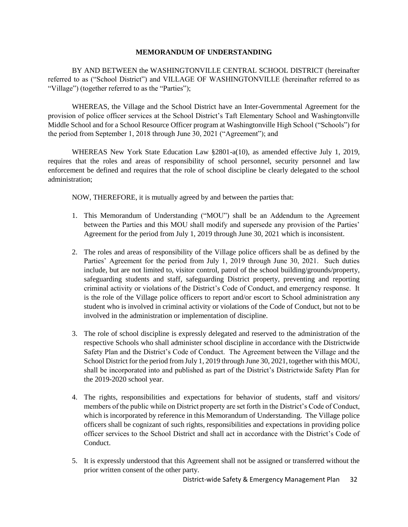#### **MEMORANDUM OF UNDERSTANDING**

BY AND BETWEEN the WASHINGTONVILLE CENTRAL SCHOOL DISTRICT (hereinafter referred to as ("School District") and VILLAGE OF WASHINGTONVILLE (hereinafter referred to as "Village") (together referred to as the "Parties");

WHEREAS, the Village and the School District have an Inter-Governmental Agreement for the provision of police officer services at the School District's Taft Elementary School and Washingtonville Middle School and for a School Resource Officer program at Washingtonville High School ("Schools") for the period from September 1, 2018 through June 30, 2021 ("Agreement"); and

WHEREAS New York State Education Law §2801-a(10), as amended effective July 1, 2019, requires that the roles and areas of responsibility of school personnel, security personnel and law enforcement be defined and requires that the role of school discipline be clearly delegated to the school administration;

NOW, THEREFORE, it is mutually agreed by and between the parties that:

- 1. This Memorandum of Understanding ("MOU") shall be an Addendum to the Agreement between the Parties and this MOU shall modify and supersede any provision of the Parties' Agreement for the period from July 1, 2019 through June 30, 2021 which is inconsistent.
- 2. The roles and areas of responsibility of the Village police officers shall be as defined by the Parties' Agreement for the period from July 1, 2019 through June 30, 2021. Such duties include, but are not limited to, visitor control, patrol of the school building/grounds/property, safeguarding students and staff, safeguarding District property, preventing and reporting criminal activity or violations of the District's Code of Conduct, and emergency response. It is the role of the Village police officers to report and/or escort to School administration any student who is involved in criminal activity or violations of the Code of Conduct, but not to be involved in the administration or implementation of discipline.
- 3. The role of school discipline is expressly delegated and reserved to the administration of the respective Schools who shall administer school discipline in accordance with the Districtwide Safety Plan and the District's Code of Conduct. The Agreement between the Village and the School District for the period from July 1, 2019 through June 30, 2021, together with this MOU, shall be incorporated into and published as part of the District's Districtwide Safety Plan for the 2019-2020 school year.
- 4. The rights, responsibilities and expectations for behavior of students, staff and visitors/ members of the public while on District property are set forth in the District's Code of Conduct, which is incorporated by reference in this Memorandum of Understanding. The Village police officers shall be cognizant of such rights, responsibilities and expectations in providing police officer services to the School District and shall act in accordance with the District's Code of Conduct.
- 5. It is expressly understood that this Agreement shall not be assigned or transferred without the prior written consent of the other party.

District-wide Safety & Emergency Management Plan 32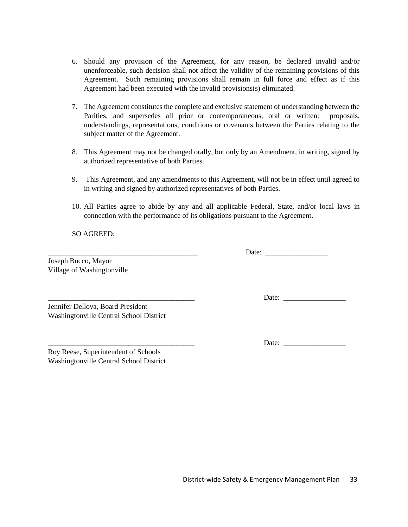- 6. Should any provision of the Agreement, for any reason, be declared invalid and/or unenforceable, such decision shall not affect the validity of the remaining provisions of this Agreement. Such remaining provisions shall remain in full force and effect as if this Agreement had been executed with the invalid provisions(s) eliminated.
- 7. The Agreement constitutes the complete and exclusive statement of understanding between the Parities, and supersedes all prior or contemporaneous, oral or written: proposals, understandings, representations, conditions or covenants between the Parties relating to the subject matter of the Agreement.
- 8. This Agreement may not be changed orally, but only by an Amendment, in writing, signed by authorized representative of both Parties.
- 9. This Agreement, and any amendments to this Agreement, will not be in effect until agreed to in writing and signed by authorized representatives of both Parties.
- 10. All Parties agree to abide by any and all applicable Federal, State, and/or local laws in connection with the performance of its obligations pursuant to the Agreement.

SO AGREED:

Joseph Bucco, Mayor Village of Washingtonville

Jennifer Dellova, Board President Washingtonville Central School District

Roy Reese, Superintendent of Schools Washingtonville Central School District \_\_\_\_\_\_\_\_\_\_\_\_\_\_\_\_\_\_\_\_\_\_\_\_\_\_\_\_\_\_\_\_\_\_\_\_\_\_\_\_\_ Date: \_\_\_\_\_\_\_\_\_\_\_\_\_\_\_\_\_

\_\_\_\_\_\_\_\_\_\_\_\_\_\_\_\_\_\_\_\_\_\_\_\_\_\_\_\_\_\_\_\_\_\_\_\_\_\_\_\_ Date: \_\_\_\_\_\_\_\_\_\_\_\_\_\_\_\_\_

\_\_\_\_\_\_\_\_\_\_\_\_\_\_\_\_\_\_\_\_\_\_\_\_\_\_\_\_\_\_\_\_\_\_\_\_\_\_\_\_ Date: \_\_\_\_\_\_\_\_\_\_\_\_\_\_\_\_\_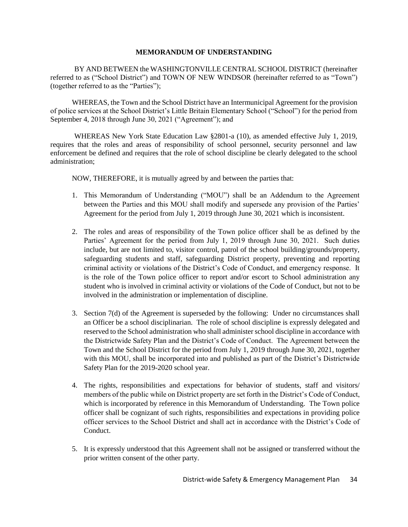#### **MEMORANDUM OF UNDERSTANDING**

BY AND BETWEEN the WASHINGTONVILLE CENTRAL SCHOOL DISTRICT (hereinafter referred to as ("School District") and TOWN OF NEW WINDSOR (hereinafter referred to as "Town") (together referred to as the "Parties");

WHEREAS, the Town and the School District have an Intermunicipal Agreement for the provision of police services at the School District's Little Britain Elementary School ("School") for the period from September 4, 2018 through June 30, 2021 ("Agreement"); and

WHEREAS New York State Education Law §2801-a (10), as amended effective July 1, 2019, requires that the roles and areas of responsibility of school personnel, security personnel and law enforcement be defined and requires that the role of school discipline be clearly delegated to the school administration;

NOW, THEREFORE, it is mutually agreed by and between the parties that:

- 1. This Memorandum of Understanding ("MOU") shall be an Addendum to the Agreement between the Parties and this MOU shall modify and supersede any provision of the Parties' Agreement for the period from July 1, 2019 through June 30, 2021 which is inconsistent.
- 2. The roles and areas of responsibility of the Town police officer shall be as defined by the Parties' Agreement for the period from July 1, 2019 through June 30, 2021. Such duties include, but are not limited to, visitor control, patrol of the school building/grounds/property, safeguarding students and staff, safeguarding District property, preventing and reporting criminal activity or violations of the District's Code of Conduct, and emergency response. It is the role of the Town police officer to report and/or escort to School administration any student who is involved in criminal activity or violations of the Code of Conduct, but not to be involved in the administration or implementation of discipline.
- 3. Section 7(d) of the Agreement is superseded by the following: Under no circumstances shall an Officer be a school disciplinarian. The role of school discipline is expressly delegated and reserved to the School administration who shall administerschool discipline in accordance with the Districtwide Safety Plan and the District's Code of Conduct. The Agreement between the Town and the School District for the period from July 1, 2019 through June 30, 2021, together with this MOU, shall be incorporated into and published as part of the District's Districtwide Safety Plan for the 2019-2020 school year.
- 4. The rights, responsibilities and expectations for behavior of students, staff and visitors/ members of the public while on District property are set forth in the District's Code of Conduct, which is incorporated by reference in this Memorandum of Understanding. The Town police officer shall be cognizant of such rights, responsibilities and expectations in providing police officer services to the School District and shall act in accordance with the District's Code of Conduct.
- 5. It is expressly understood that this Agreement shall not be assigned or transferred without the prior written consent of the other party.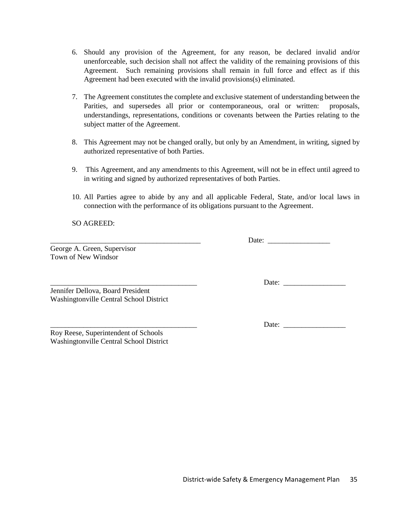- 6. Should any provision of the Agreement, for any reason, be declared invalid and/or unenforceable, such decision shall not affect the validity of the remaining provisions of this Agreement. Such remaining provisions shall remain in full force and effect as if this Agreement had been executed with the invalid provisions(s) eliminated.
- 7. The Agreement constitutes the complete and exclusive statement of understanding between the Parities, and supersedes all prior or contemporaneous, oral or written: proposals, understandings, representations, conditions or covenants between the Parties relating to the subject matter of the Agreement.
- 8. This Agreement may not be changed orally, but only by an Amendment, in writing, signed by authorized representative of both Parties.
- 9. This Agreement, and any amendments to this Agreement, will not be in effect until agreed to in writing and signed by authorized representatives of both Parties.
- 10. All Parties agree to abide by any and all applicable Federal, State, and/or local laws in connection with the performance of its obligations pursuant to the Agreement.

SO AGREED:

George A. Green, Supervisor Town of New Windsor

Jennifer Dellova, Board President Washingtonville Central School District

Roy Reese, Superintendent of Schools Washingtonville Central School District

District-wide Safety & Emergency Management Plan 35

\_\_\_\_\_\_\_\_\_\_\_\_\_\_\_\_\_\_\_\_\_\_\_\_\_\_\_\_\_\_\_\_\_\_\_\_\_\_\_\_ Date: \_\_\_\_\_\_\_\_\_\_\_\_\_\_\_\_\_

\_\_\_\_\_\_\_\_\_\_\_\_\_\_\_\_\_\_\_\_\_\_\_\_\_\_\_\_\_\_\_\_\_\_\_\_\_\_\_\_\_ Date: \_\_\_\_\_\_\_\_\_\_\_\_\_\_\_\_\_

\_\_\_\_\_\_\_\_\_\_\_\_\_\_\_\_\_\_\_\_\_\_\_\_\_\_\_\_\_\_\_\_\_\_\_\_\_\_\_\_ Date: \_\_\_\_\_\_\_\_\_\_\_\_\_\_\_\_\_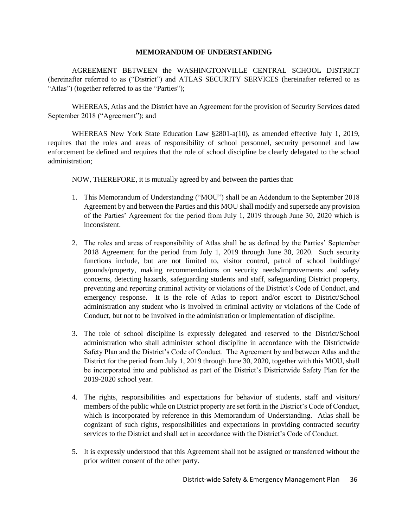#### **MEMORANDUM OF UNDERSTANDING**

AGREEMENT BETWEEN the WASHINGTONVILLE CENTRAL SCHOOL DISTRICT (hereinafter referred to as ("District") and ATLAS SECURITY SERVICES (hereinafter referred to as "Atlas") (together referred to as the "Parties");

WHEREAS, Atlas and the District have an Agreement for the provision of Security Services dated September 2018 ("Agreement"); and

WHEREAS New York State Education Law §2801-a(10), as amended effective July 1, 2019, requires that the roles and areas of responsibility of school personnel, security personnel and law enforcement be defined and requires that the role of school discipline be clearly delegated to the school administration;

NOW, THEREFORE, it is mutually agreed by and between the parties that:

- 1. This Memorandum of Understanding ("MOU") shall be an Addendum to the September 2018 Agreement by and between the Parties and this MOU shall modify and supersede any provision of the Parties' Agreement for the period from July 1, 2019 through June 30, 2020 which is inconsistent.
- 2. The roles and areas of responsibility of Atlas shall be as defined by the Parties' September 2018 Agreement for the period from July 1, 2019 through June 30, 2020. Such security functions include, but are not limited to, visitor control, patrol of school buildings/ grounds/property, making recommendations on security needs/improvements and safety concerns, detecting hazards, safeguarding students and staff, safeguarding District property, preventing and reporting criminal activity or violations of the District's Code of Conduct, and emergency response. It is the role of Atlas to report and/or escort to District/School administration any student who is involved in criminal activity or violations of the Code of Conduct, but not to be involved in the administration or implementation of discipline.
- 3. The role of school discipline is expressly delegated and reserved to the District/School administration who shall administer school discipline in accordance with the Districtwide Safety Plan and the District's Code of Conduct. The Agreement by and between Atlas and the District for the period from July 1, 2019 through June 30, 2020, together with this MOU, shall be incorporated into and published as part of the District's Districtwide Safety Plan for the 2019-2020 school year.
- 4. The rights, responsibilities and expectations for behavior of students, staff and visitors/ members of the public while on District property are set forth in the District's Code of Conduct, which is incorporated by reference in this Memorandum of Understanding. Atlas shall be cognizant of such rights, responsibilities and expectations in providing contracted security services to the District and shall act in accordance with the District's Code of Conduct.
- 5. It is expressly understood that this Agreement shall not be assigned or transferred without the prior written consent of the other party.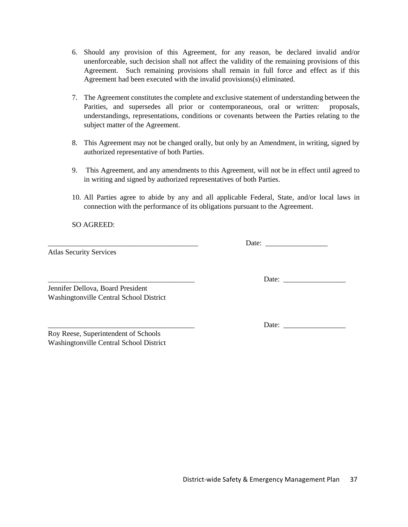- 6. Should any provision of this Agreement, for any reason, be declared invalid and/or unenforceable, such decision shall not affect the validity of the remaining provisions of this Agreement. Such remaining provisions shall remain in full force and effect as if this Agreement had been executed with the invalid provisions(s) eliminated.
- 7. The Agreement constitutes the complete and exclusive statement of understanding between the Parities, and supersedes all prior or contemporaneous, oral or written: proposals, understandings, representations, conditions or covenants between the Parties relating to the subject matter of the Agreement.
- 8. This Agreement may not be changed orally, but only by an Amendment, in writing, signed by authorized representative of both Parties.
- 9. This Agreement, and any amendments to this Agreement, will not be in effect until agreed to in writing and signed by authorized representatives of both Parties.
- 10. All Parties agree to abide by any and all applicable Federal, State, and/or local laws in connection with the performance of its obligations pursuant to the Agreement.

SO AGREED:

Atlas Security Services

\_\_\_\_\_\_\_\_\_\_\_\_\_\_\_\_\_\_\_\_\_\_\_\_\_\_\_\_\_\_\_\_\_\_\_\_\_\_\_\_\_ Date: \_\_\_\_\_\_\_\_\_\_\_\_\_\_\_\_\_

Jennifer Dellova, Board President Washingtonville Central School District

Roy Reese, Superintendent of Schools Washingtonville Central School District \_\_\_\_\_\_\_\_\_\_\_\_\_\_\_\_\_\_\_\_\_\_\_\_\_\_\_\_\_\_\_\_\_\_\_\_\_\_\_\_ Date: \_\_\_\_\_\_\_\_\_\_\_\_\_\_\_\_\_

Date: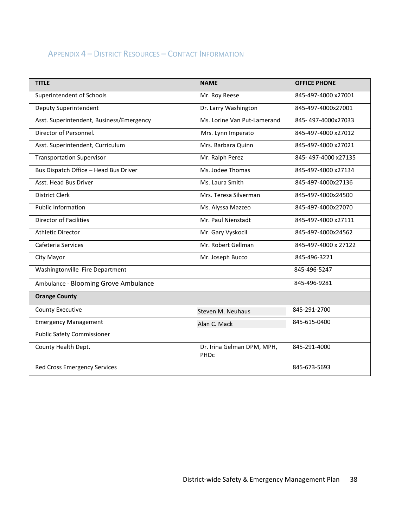# APPENDIX 4 – DISTRICT RESOURCES – CONTACT INFORMATION

| <b>TITLE</b>                             | <b>NAME</b>                        | <b>OFFICE PHONE</b>  |
|------------------------------------------|------------------------------------|----------------------|
| Superintendent of Schools                | Mr. Roy Reese                      | 845-497-4000 x27001  |
| Deputy Superintendent                    | Dr. Larry Washington               | 845-497-4000x27001   |
| Asst. Superintendent, Business/Emergency | Ms. Lorine Van Put-Lamerand        | 845-497-4000x27033   |
| Director of Personnel.                   | Mrs. Lynn Imperato                 | 845-497-4000 x27012  |
| Asst. Superintendent, Curriculum         | Mrs. Barbara Quinn                 | 845-497-4000 x27021  |
| <b>Transportation Supervisor</b>         | Mr. Ralph Perez                    | 845-497-4000 x27135  |
| Bus Dispatch Office - Head Bus Driver    | Ms. Jodee Thomas                   | 845-497-4000 x27134  |
| Asst. Head Bus Driver                    | Ms. Laura Smith                    | 845-497-4000x27136   |
| <b>District Clerk</b>                    | Mrs. Teresa Silverman              | 845-497-4000x24500   |
| <b>Public Information</b>                | Ms. Alyssa Mazzeo                  | 845-497-4000x27070   |
| <b>Director of Facilities</b>            | Mr. Paul Nienstadt                 | 845-497-4000 x27111  |
| <b>Athletic Director</b>                 | Mr. Gary Vyskocil                  | 845-497-4000x24562   |
| Cafeteria Services                       | Mr. Robert Gellman                 | 845-497-4000 x 27122 |
| City Mayor                               | Mr. Joseph Bucco                   | 845-496-3221         |
| Washingtonville Fire Department          |                                    | 845-496-5247         |
| Ambulance - Blooming Grove Ambulance     |                                    | 845-496-9281         |
| <b>Orange County</b>                     |                                    |                      |
| <b>County Executive</b>                  | Steven M. Neuhaus                  | 845-291-2700         |
| <b>Emergency Management</b>              | Alan C. Mack                       | 845-615-0400         |
| <b>Public Safety Commissioner</b>        |                                    |                      |
| County Health Dept.                      | Dr. Irina Gelman DPM, MPH,<br>PHDC | 845-291-4000         |
| Red Cross Emergency Services             |                                    | 845-673-5693         |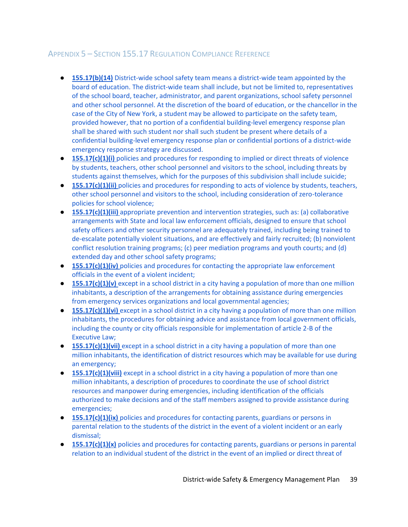# APPENDIX 5 – SECTION 155.17 REGULATION COMPLIANCE REFERENCE

- **155.17(b)(14)** District-wide school safety team means a district-wide team appointed by the board of education. The district-wide team shall include, but not be limited to, representatives of the school board, teacher, administrator, and parent organizations, school safety personnel and other school personnel. At the discretion of the board of education, or the chancellor in the case of the City of New York, a student may be allowed to participate on the safety team, provided however, that no portion of a confidential building-level emergency response plan shall be shared with such student nor shall such student be present where details of a confidential building-level emergency response plan or confidential portions of a district-wide emergency response strategy are discussed.
- **155.17(c)(1)(i)** policies and procedures for responding to implied or direct threats of violence by students, teachers, other school personnel and visitors to the school, including threats by students against themselves, which for the purposes of this subdivision shall include suicide;
- **155.17(c)(1)(ii)** policies and procedures for responding to acts of violence by students, teachers, other school personnel and visitors to the school, including consideration of zero-tolerance policies for school violence;
- **155.17(c)(1)(iii)** appropriate prevention and intervention strategies, such as: (a) collaborative arrangements with State and local law enforcement officials, designed to ensure that school safety officers and other security personnel are adequately trained, including being trained to de-escalate potentially violent situations, and are effectively and fairly recruited; (b) nonviolent conflict resolution training programs; (c) peer mediation programs and youth courts; and (d) extended day and other school safety programs;
- **155.17(c)(1)(iv)** policies and procedures for contacting the appropriate law enforcement officials in the event of a violent incident;
- **155.17(c)(1)(v)** except in a school district in a city having a population of more than one million inhabitants, a description of the arrangements for obtaining assistance during emergencies from emergency services organizations and local governmental agencies;
- **155.17(c)(1)(vi)** except in a school district in a city having a population of more than one million inhabitants, the procedures for obtaining advice and assistance from local government officials, including the county or city officials responsible for implementation of article 2-B of the Executive Law;
- **155.17(c)(1)(vii)** except in a school district in a city having a population of more than one million inhabitants, the identification of district resources which may be available for use during an emergency;
- **155.17(c)(1)(viii)** except in a school district in a city having a population of more than one million inhabitants, a description of procedures to coordinate the use of school district resources and manpower during emergencies, including identification of the officials authorized to make decisions and of the staff members assigned to provide assistance during emergencies;
- **155.17(c)(1)(ix)** policies and procedures for contacting parents, guardians or persons in parental relation to the students of the district in the event of a violent incident or an early dismissal;
- **155.17(c)(1)(x)** policies and procedures for contacting parents, guardians or persons in parental relation to an individual student of the district in the event of an implied or direct threat of